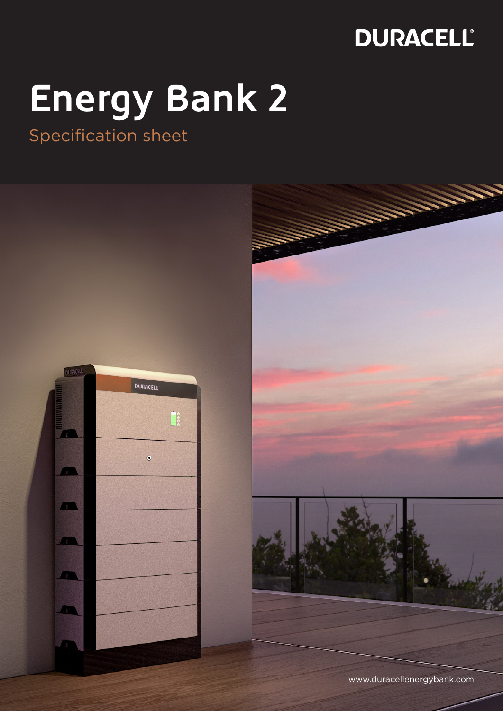# **Energy Bank 2**

Specification sheet

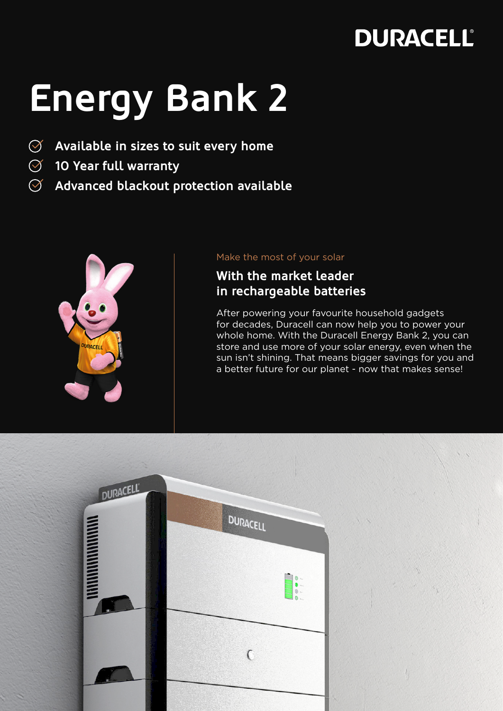## **Energy Bank 2**

- **Available in sizes to suit every home**  $\oslash$
- **10 Year full warranty**
- $\oslash$ **Advanced blackout protection available**



#### Make the most of your solar

### **With the market leader in rechargeable batteries**

After powering your favourite household gadgets for decades, Duracell can now help you to power your whole home. With the Duracell Energy Bank 2, you can store and use more of your solar energy, even when the sun isn't shining. That means bigger savings for you and a better future for our planet - now that makes sense!

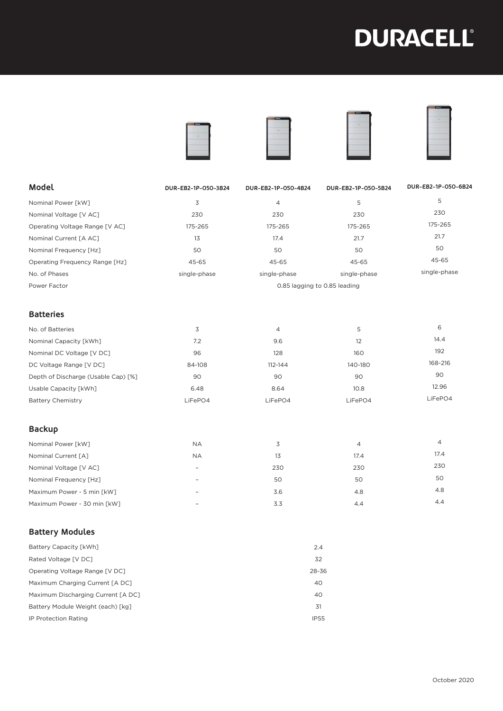







| Model                                 | DUR-EB2-1P-050-3B24          | DUR-EB2-1P-050-4B24 | DUR-EB2-1P-050-5B24 | DUR-EB2-1P-050-6B24 |
|---------------------------------------|------------------------------|---------------------|---------------------|---------------------|
| Nominal Power [kW]                    | 3                            | $\overline{4}$      | 5                   | 5                   |
| Nominal Voltage [V AC]                | 230                          | 230                 | 230                 | 230                 |
| Operating Voltage Range [V AC]        | 175-265                      | 175-265             | 175-265             | 175-265             |
| Nominal Current [A AC]                | 13                           | 17.4                | 21.7                | 21.7                |
| Nominal Frequency [Hz]                | 50                           | 50                  | 50                  | 50                  |
| <b>Operating Frequency Range [Hz]</b> | 45-65                        | 45-65               | 45-65               | 45-65               |
| No. of Phases                         | single-phase                 | single-phase        | single-phase        | single-phase        |
| Power Factor                          | 0.85 lagging to 0.85 leading |                     |                     |                     |
| <b>Batteries</b>                      |                              |                     |                     |                     |
| No. of Batteries                      | 3                            | 4                   | 5                   | 6                   |
| Nominal Capacity [kWh]                | 7.2                          | 9.6                 | 12                  | 14.4                |
| Nominal DC Voltage [V DC]             | 96                           | 128                 | 160                 | 192                 |
| DC Voltage Range [V DC]               | 84-108                       | 112-144             | 140-180             | 168-216             |
| Depth of Discharge (Usable Cap) [%]   | 90                           | 90                  | 90                  | 90                  |
| Usable Capacity [kWh]                 | 6.48                         | 8.64                | 10.8                | 12.96               |
| <b>Battery Chemistry</b>              | LiFePO4                      | LiFePO4             | LiFePO4             | LiFePO4             |
| <b>Backup</b>                         |                              |                     |                     |                     |
| Nominal Power [kW]                    | <b>NA</b>                    | 3                   | $\overline{4}$      | $\overline{4}$      |
| Nominal Current [A]                   | <b>NA</b>                    | 13                  | 17.4                | 17.4                |
| Nominal Voltage [V AC]                |                              | 230                 | 230                 | 230                 |
| Nominal Frequency [Hz]                |                              | 50                  | 50                  | 50                  |
| Maximum Power - 5 min [kW]            |                              | 3.6                 | 4.8                 | 4.8                 |
| Maximum Power - 30 min [kW]           |                              | 3.3                 | 4.4                 | 4.4                 |

#### **Battery Modules**

| Battery Capacity [kWh]             | 2.4         |
|------------------------------------|-------------|
| Rated Voltage [V DC]               | 32          |
| Operating Voltage Range [V DC]     | 28-36       |
| Maximum Charging Current [A DC]    | 40          |
| Maximum Discharging Current [A DC] | 40          |
| Battery Module Weight (each) [kg]  | 31          |
| IP Protection Rating               | <b>IP55</b> |